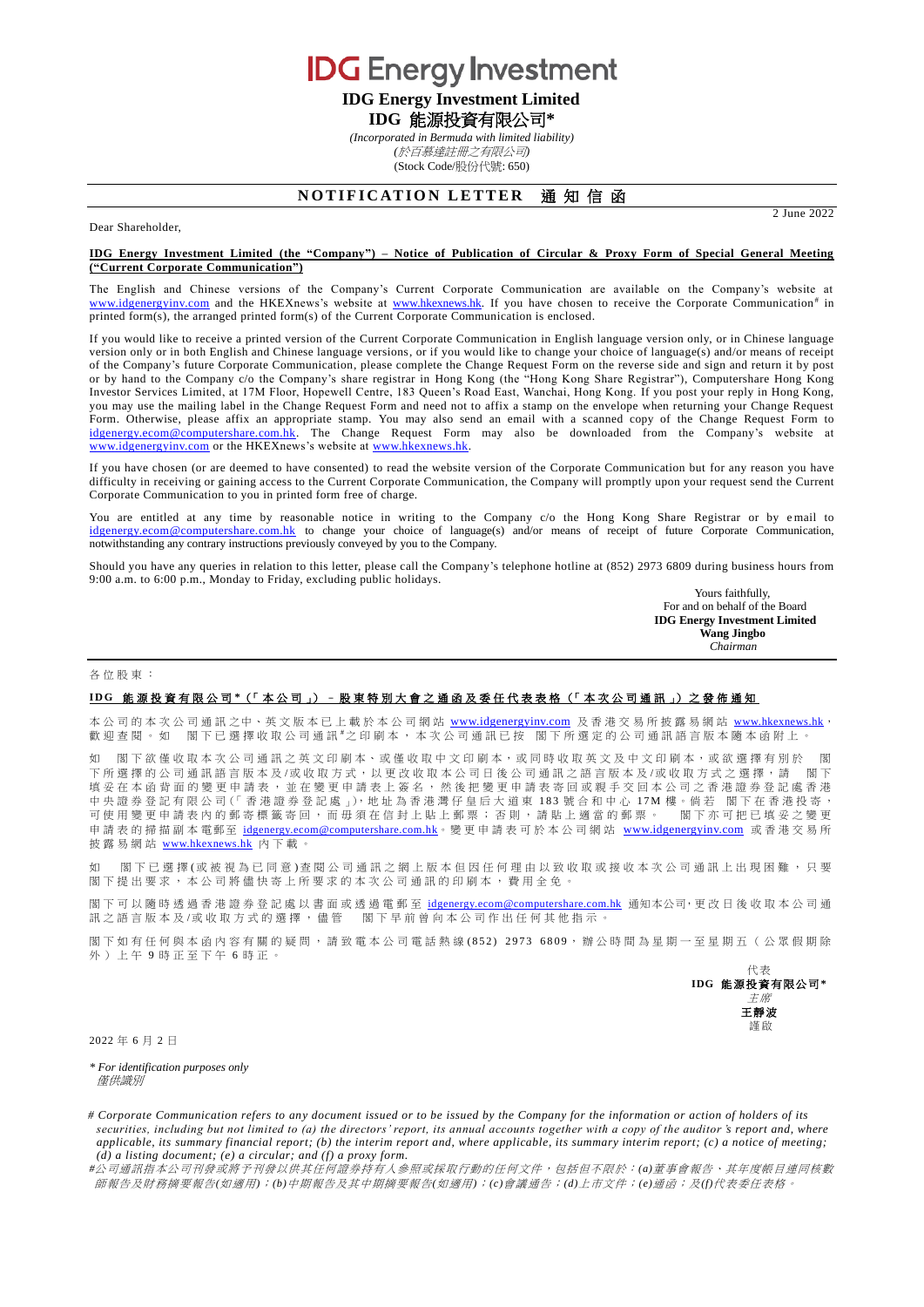**IDG** Energy Investment **IDG Energy Investment Limited**

**IDG** 能源投資有限公司**\***

*(Incorporated in Bermuda with limited liability) (*於百慕達註冊之有限公司*)*

(Stock Code/股份代號: 650)

# **NOTIFICATION LETTER 通知信函**

2 June 2022

### Dear Shareholder,

#### **IDG Energy Investment Limited (the "Company") – Notice of Publication of Circular & Proxy Form of Special General Meeting ("Current Corporate Communication")**

The English and Chinese versions of the Company's Current Corporate Communication are available on the Company's website at [www.idgenergyinv.com](http://www.idgenergyinv.com/) and the HKEXnews's website at [www.hkexnews.hk.](http://www.hkexnews.hk/) If you have chosen to receive the Corporate Communication<sup>#</sup> in printed form(s), the arranged printed form(s) of the Current Corporate Communication is enclosed.

If you would like to receive a printed version of the Current Corporate Communication in English language version only, or in Chinese language version only or in both English and Chinese language versions, or if you would like to change your choice of language(s) and/or means of receipt of the Company's future Corporate Communication, please complete the Change Request Form on the reverse side and sign and return it by post or by hand to the Company c/o the Company's share registrar in Hong Kong (the "Hong Kong Share Registrar"), Computershare Hong Kong Investor Services Limited, at 17M Floor, Hopewell Centre, 183 Queen's Road East, Wanchai, Hong Kong. If you post your reply in Hong Kong, you may use the mailing label in the Change Request Form and need not to affix a stamp on the envelope when returning your Change Request Form. Otherwise, please affix an appropriate stamp. You may also send an email with a scanned copy of the Change Request Form to [idgenergy.ecom@computershare.com.hk.](mailto:idgenergy.ecom@computershare.com.hk) The Change Request Form may also be downloaded from the Company's website at [www.idgenergyinv.com](http://www.idgenergyinv.com/) or the HKEXnews's website at [www.hkexnews.hk.](http://www.hkexnews.hk/)

If you have chosen (or are deemed to have consented) to read the website version of the Corporate Communication but for any reason you have difficulty in receiving or gaining access to the Current Corporate Communication, the Company will promptly upon your request send the Current Corporate Communication to you in printed form free of charge.

You are entitled at any time by reasonable notice in writing to the Company c/o the Hong Kong Share Registrar or by email to [idgenergy.ecom@computershare.com.hk](mailto:idgenergy.ecom@computershare.com.hk) to change your choice of language(s) and/or means of receipt of future Corporate Communication, notwithstanding any contrary instructions previously conveyed by you to the Company.

Should you have any queries in relation to this letter, please call the Company's telephone hotline at (852) 2973 6809 during business hours from 9:00 a.m. to 6:00 p.m., Monday to Friday, excluding public holidays.

Yours faithfully, For and on behalf of the Board **IDG Energy Investment Limited Wang Jingbo**  *Chairman*

#### 各位股東 :

## **I D G** 能源投資 有 限 公 司 **\***(「 本 公 司 」) – 股東特別大會 之 通 函 及 委任代表表格 (「 本 次 公 司 通 訊 」) 之 發 佈 通 知

本公司的本次公司通訊之中、英文版本已上載於本公司網站 [www.idgenergyinv.com](http://www.idgenergyinv.com/) 及香港交易所披露易網站 [www.hkexnews.hk](http://www.hkexnews.hk/), 歡迎查閱。如 閣下已選擇收取公司通訊#之印刷本,本次公司通訊已按 閣下所選定的公司通訊語言版本隨本函附上。

如 閣下欲僅收取本次公司通訊之英文印刷本、或僅收取中文印刷本,或同時收取英文及中文印刷本,或欲選擇有別於 閣 下所選擇的公司通訊語言版本 及 /或 收 取 方 式 , 以 更 改 收 取 本公司日後 公司通訊之語言版本及 /或收取方式 之選擇 , 請 閣 下 填妥在本函背面的變更申請表,並在變更申請表上簽名,然後把變更申請表寄回或親手交回本公司之香港證券登記處香港 中 央 證 券 登 記 有 限 公 司 (「 香 港 證 券 登 記 處 」), 地 址 為 香 港 灣 仔 皇 后 大 道 東 183 號 合 和 中 心 17M 樓 。倘 若 閣 下 在 香 港 投 寄 ,<br>可 使 用 變 更 申 請 表 内 的 郵 寄 標 籤 寄 回 , 而 毌 須 在 信 封 上 貼 一 郵 票 ; 否 則 , 請 貼 上 適 當 的 郵 票 。 閣 下 亦 可 把 已 填 妥 之 變 更 可使用變更申請表內的郵寄標籤寄回,而毋須在信封上貼上郵票;否則,請貼上適當的郵票。 申請表的掃描副本電郵至 [idgenergy.ecom@computershare.com.hk](mailto:idgenergy.ecom@computershare.com.hk)。變更申請表可於本公司網站 [www.idgenergyinv.com](http://www.idgenergyinv.com/) 或香港交易所 披露易網站 [www.hkexnews.hk](http://www.hkexnews.hk/) 內 下載。

如 閣下已 選 擇 (或 被 視 為 已 同 意 ) 查 閱 公 司 通 訊 之 網 上 版 本 但 因 任 何 理 由 以 致 收 取 或 接 收 本 次 公 司 通 訊 上 出 現 困 難 , 只 要 閣 下 提出要求, 本公司將儘 快寄上所要求的 本次公司通訊 的印刷本,費用全免。

閣下 可 以 隨 時 透 過 香 港 證 券 登 記 處 以 書 面 或 透 過 電 郵 至 [idgenergy.ecom@computershare.com.hk](mailto:idgenergy.ecom@computershare.com.hk) 通知本公司,更 改 日 後 收 取 本 公 司 通 訊之語言版本及/或收取方式的選擇,儘管 閣下早前曾向本公司作出任何其他指示。

閣下如有任何與本函內容有關的疑問,請致電本公司電話熱線(852) 2973 6809,辦公時間為星期一至星期五(公眾假期除 外)上午 9 時正至下午 6 時正。



2022 年 6 月 2 日

*\* For identification purposes only* 僅供識別

*# Corporate Communication refers to any document issued or to be issued by the Company for the information or action of holders of its securities, including but not limited to (a) the directors' report, its annual accounts together with a copy of the auditor <i>'s report and, where applicable, its summary financial report; (b) the interim report and, where applicable, its summary interim report; (c) a notice of meeting; (d) a listing document; (e) a circular; and (f) a proxy form.*

*#*公司通訊指本公司刊發或將予刊發以供其任何證券持有人參照或採取行動的任何文件,包括但不限於:*(a)*董事會報告、其年度帳目連同核數 師報告及財務摘要報告*(*如適用*)*;*(b)*中期報告及其中期摘要報告*(*如適用*)*;*(c)*會議通告;*(d)*上市文件;*(e)*通函;及*(f)*代表委任表格。